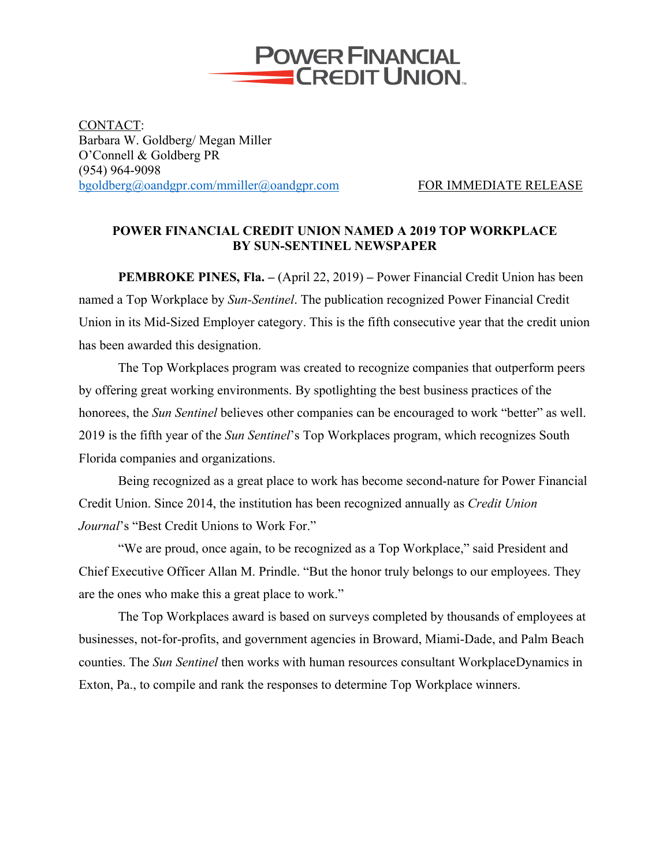

CONTACT: Barbara W. Goldberg/ Megan Miller O'Connell & Goldberg PR (954) 964-9098 bgoldberg@oandgpr.com/mmiller@oandgpr.com FOR IMMEDIATE RELEASE

## **POWER FINANCIAL CREDIT UNION NAMED A 2019 TOP WORKPLACE BY SUN-SENTINEL NEWSPAPER**

**PEMBROKE PINES, Fla. –** (April 22, 2019) **–** Power Financial Credit Union has been named a Top Workplace by *Sun-Sentinel*. The publication recognized Power Financial Credit Union in its Mid-Sized Employer category. This is the fifth consecutive year that the credit union has been awarded this designation.

The Top Workplaces program was created to recognize companies that outperform peers by offering great working environments. By spotlighting the best business practices of the honorees, the *Sun Sentinel* believes other companies can be encouraged to work "better" as well. 2019 is the fifth year of the *Sun Sentinel*'s Top Workplaces program, which recognizes South Florida companies and organizations.

Being recognized as a great place to work has become second-nature for Power Financial Credit Union. Since 2014, the institution has been recognized annually as *Credit Union Journal*'s "Best Credit Unions to Work For."

"We are proud, once again, to be recognized as a Top Workplace," said President and Chief Executive Officer Allan M. Prindle. "But the honor truly belongs to our employees. They are the ones who make this a great place to work."

The Top Workplaces award is based on surveys completed by thousands of employees at businesses, not-for-profits, and government agencies in Broward, Miami-Dade, and Palm Beach counties. The *Sun Sentinel* then works with human resources consultant WorkplaceDynamics in Exton, Pa., to compile and rank the responses to determine Top Workplace winners.